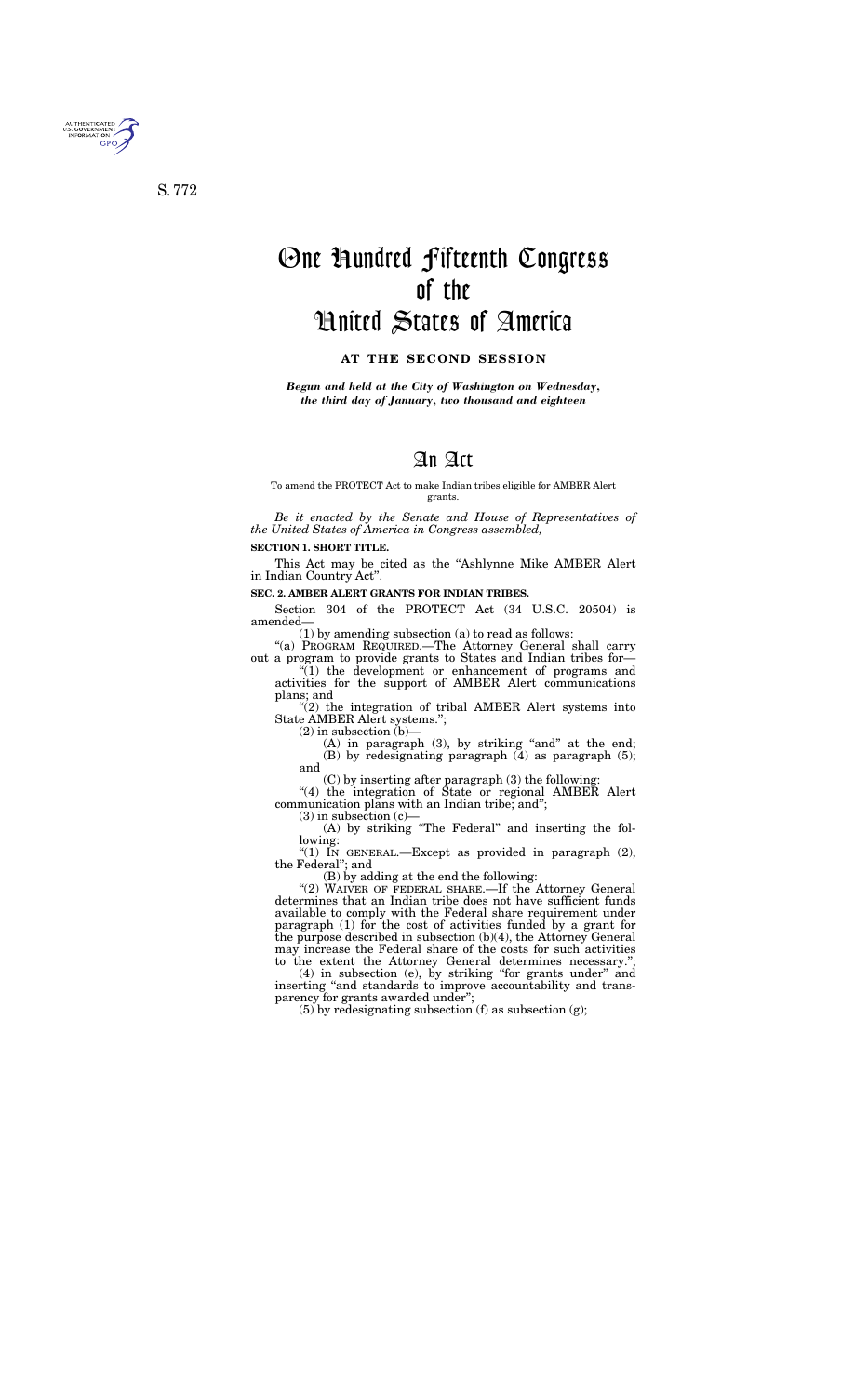

S. 772

# One Hundred Fifteenth Congress of the United States of America

#### **AT THE SECOND SESSION**

*Begun and held at the City of Washington on Wednesday, the third day of January, two thousand and eighteen* 

## An Act

To amend the PROTECT Act to make Indian tribes eligible for AMBER Alert grants.

*Be it enacted by the Senate and House of Representatives of the United States of America in Congress assembled,* 

#### **SECTION 1. SHORT TITLE.**

 $(1)$  the development or enhancement of programs and activities for the support of AMBER Alert communications plans; and

This Act may be cited as the ''Ashlynne Mike AMBER Alert in Indian Country Act''.

"(2) the integration of tribal AMBER Alert systems into State AMBER Alert systems.'';

 $(2)$  in subsection  $(b)$ –

#### **SEC. 2. AMBER ALERT GRANTS FOR INDIAN TRIBES.**

 $(A)$  in paragraph  $(3)$ , by striking "and" at the end; (B) by redesignating paragraph (4) as paragraph (5); and

Section 304 of the PROTECT Act (34 U.S.C. 20504) is amended—

(1) by amending subsection (a) to read as follows:

"(4) the integration of State or regional AMBER Alert communication plans with an Indian tribe; and'';

 $(3)$  in subsection  $(c)$ —

"(1) IN GENERAL.—Except as provided in paragraph (2), the Federal''; and

''(a) PROGRAM REQUIRED.—The Attorney General shall carry out a program to provide grants to States and Indian tribes for—

"(2) WAIVER OF FEDERAL SHARE.—If the Attorney General determines that an Indian tribe does not have sufficient funds available to comply with the Federal share requirement under paragraph (1) for the cost of activities funded by a grant for the purpose described in subsection (b)(4), the Attorney General may increase the Federal share of the costs for such activities to the extent the Attorney General determines necessary.'';

(4) in subsection (e), by striking ''for grants under'' and inserting "and standards to improve accountability and transparency for grants awarded under";

(C) by inserting after paragraph (3) the following:

(A) by striking ''The Federal'' and inserting the following:

(B) by adding at the end the following:

(5) by redesignating subsection (f) as subsection (g);